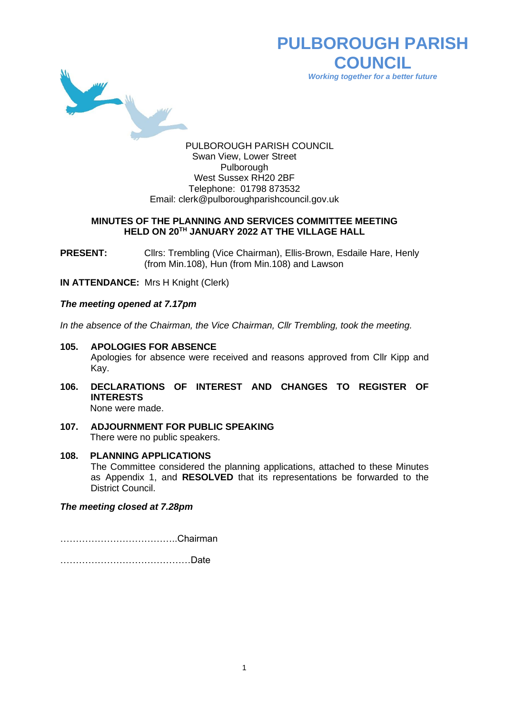

**PULBOROUGH PARISH COUNCIL** *Working together for a better future*

PULBOROUGH PARISH COUNCIL Swan View, Lower Street Pulborough West Sussex RH20 2BF Telephone: 01798 873532 Email: [clerk@pulboroughparishcouncil.gov.uk](mailto:clerk@pulboroughparishcouncil.gov.uk)

#### **MINUTES OF THE PLANNING AND SERVICES COMMITTEE MEETING HELD ON 20TH JANUARY 2022 AT THE VILLAGE HALL**

**PRESENT:** Clirs: Trembling (Vice Chairman), Ellis-Brown, Esdaile Hare, Henly (from Min.108), Hun (from Min.108) and Lawson

**IN ATTENDANCE:** Mrs H Knight (Clerk)

## *The meeting opened at 7.17pm*

*In the absence of the Chairman, the Vice Chairman, Cllr Trembling, took the meeting.*

- **105. APOLOGIES FOR ABSENCE** Apologies for absence were received and reasons approved from Cllr Kipp and Kay.
- **106. DECLARATIONS OF INTEREST AND CHANGES TO REGISTER OF INTERESTS** None were made.
- **107. ADJOURNMENT FOR PUBLIC SPEAKING** There were no public speakers.
- **108. PLANNING APPLICATIONS** The Committee considered the planning applications, attached to these Minutes as Appendix 1, and **RESOLVED** that its representations be forwarded to the District Council.

# *The meeting closed at 7.28pm*

………………………………..Chairman

……………………………………Date